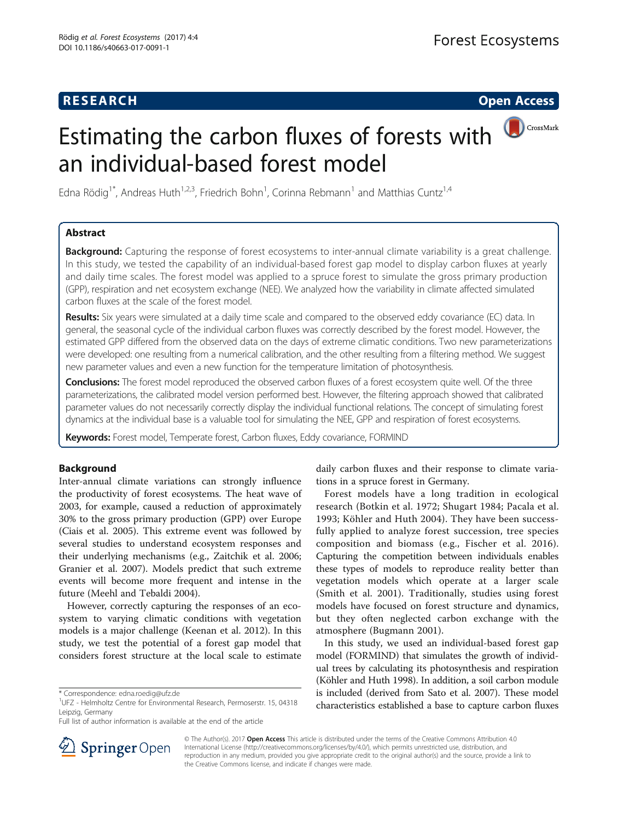# **RESEARCH RESEARCH CONSUMING ACCESS**

# Estimating the carbon fluxes of forests with an individual-based forest model

CrossMark

Edna Rödig<sup>1\*</sup>, Andreas Huth<sup>1,2,3</sup>, Friedrich Bohn<sup>1</sup>, Corinna Rebmann<sup>1</sup> and Matthias Cuntz<sup>1,4</sup>

# Abstract

Background: Capturing the response of forest ecosystems to inter-annual climate variability is a great challenge. In this study, we tested the capability of an individual-based forest gap model to display carbon fluxes at yearly and daily time scales. The forest model was applied to a spruce forest to simulate the gross primary production (GPP), respiration and net ecosystem exchange (NEE). We analyzed how the variability in climate affected simulated carbon fluxes at the scale of the forest model.

Results: Six years were simulated at a daily time scale and compared to the observed eddy covariance (EC) data. In general, the seasonal cycle of the individual carbon fluxes was correctly described by the forest model. However, the estimated GPP differed from the observed data on the days of extreme climatic conditions. Two new parameterizations were developed: one resulting from a numerical calibration, and the other resulting from a filtering method. We suggest new parameter values and even a new function for the temperature limitation of photosynthesis.

Conclusions: The forest model reproduced the observed carbon fluxes of a forest ecosystem quite well. Of the three parameterizations, the calibrated model version performed best. However, the filtering approach showed that calibrated parameter values do not necessarily correctly display the individual functional relations. The concept of simulating forest dynamics at the individual base is a valuable tool for simulating the NEE, GPP and respiration of forest ecosystems.

Keywords: Forest model, Temperate forest, Carbon fluxes, Eddy covariance, FORMIND

# Background

Inter-annual climate variations can strongly influence the productivity of forest ecosystems. The heat wave of 2003, for example, caused a reduction of approximately 30% to the gross primary production (GPP) over Europe (Ciais et al. [2005](#page-8-0)). This extreme event was followed by several studies to understand ecosystem responses and their underlying mechanisms (e.g., Zaitchik et al. [2006](#page-9-0); Granier et al. [2007](#page-8-0)). Models predict that such extreme events will become more frequent and intense in the future (Meehl and Tebaldi [2004\)](#page-9-0).

However, correctly capturing the responses of an ecosystem to varying climatic conditions with vegetation models is a major challenge (Keenan et al. [2012](#page-9-0)). In this study, we test the potential of a forest gap model that considers forest structure at the local scale to estimate

daily carbon fluxes and their response to climate variations in a spruce forest in Germany.

Forest models have a long tradition in ecological research (Botkin et al. [1972;](#page-8-0) Shugart [1984](#page-9-0); Pacala et al. [1993](#page-9-0); Köhler and Huth [2004\)](#page-9-0). They have been successfully applied to analyze forest succession, tree species composition and biomass (e.g., Fischer et al. [2016](#page-8-0)). Capturing the competition between individuals enables these types of models to reproduce reality better than vegetation models which operate at a larger scale (Smith et al. [2001\)](#page-9-0). Traditionally, studies using forest models have focused on forest structure and dynamics, but they often neglected carbon exchange with the atmosphere (Bugmann [2001](#page-8-0)).

In this study, we used an individual-based forest gap model (FORMIND) that simulates the growth of individual trees by calculating its photosynthesis and respiration (Köhler and Huth [1998\)](#page-9-0). In addition, a soil carbon module is included (derived from Sato et al. [2007\)](#page-9-0). These model characteristics established a base to capture carbon fluxes



© The Author(s). 2017 Open Access This article is distributed under the terms of the Creative Commons Attribution 4.0 International License ([http://creativecommons.org/licenses/by/4.0/\)](http://creativecommons.org/licenses/by/4.0/), which permits unrestricted use, distribution, and reproduction in any medium, provided you give appropriate credit to the original author(s) and the source, provide a link to the Creative Commons license, and indicate if changes were made.

<sup>\*</sup> Correspondence: [edna.roedig@ufz.de](mailto:edna.roedig@ufz.de) <sup>1</sup>

UFZ - Helmholtz Centre for Environmental Research, Permoserstr. 15, 04318 Leipzig, Germany

Full list of author information is available at the end of the article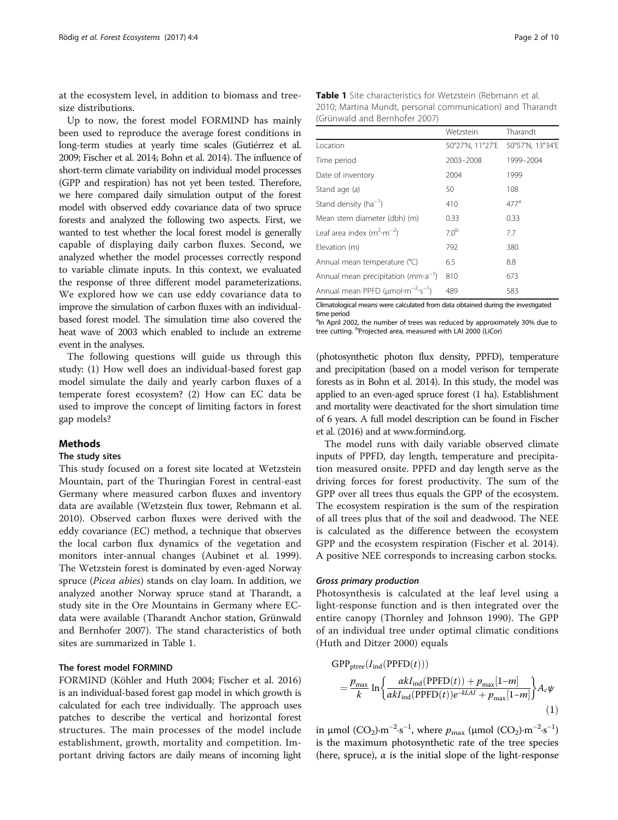<span id="page-1-0"></span>at the ecosystem level, in addition to biomass and treesize distributions.

Up to now, the forest model FORMIND has mainly been used to reproduce the average forest conditions in long-term studies at yearly time scales (Gutiérrez et al. [2009;](#page-8-0) Fischer et al. [2014;](#page-8-0) Bohn et al. [2014\)](#page-8-0). The influence of short-term climate variability on individual model processes (GPP and respiration) has not yet been tested. Therefore, we here compared daily simulation output of the forest model with observed eddy covariance data of two spruce forests and analyzed the following two aspects. First, we wanted to test whether the local forest model is generally capable of displaying daily carbon fluxes. Second, we analyzed whether the model processes correctly respond to variable climate inputs. In this context, we evaluated the response of three different model parameterizations. We explored how we can use eddy covariance data to improve the simulation of carbon fluxes with an individualbased forest model. The simulation time also covered the heat wave of 2003 which enabled to include an extreme event in the analyses.

The following questions will guide us through this study: (1) How well does an individual-based forest gap model simulate the daily and yearly carbon fluxes of a temperate forest ecosystem? (2) How can EC data be used to improve the concept of limiting factors in forest gap models?

## **Methods**

#### The study sites

This study focused on a forest site located at Wetzstein Mountain, part of the Thuringian Forest in central-east Germany where measured carbon fluxes and inventory data are available (Wetzstein flux tower, Rebmann et al. [2010](#page-9-0)). Observed carbon fluxes were derived with the eddy covariance (EC) method, a technique that observes the local carbon flux dynamics of the vegetation and monitors inter-annual changes (Aubinet et al. [1999](#page-8-0)). The Wetzstein forest is dominated by even-aged Norway spruce (Picea abies) stands on clay loam. In addition, we analyzed another Norway spruce stand at Tharandt, a study site in the Ore Mountains in Germany where ECdata were available (Tharandt Anchor station, Grünwald and Bernhofer [2007\)](#page-8-0). The stand characteristics of both sites are summarized in Table 1.

# The forest model FORMIND

FORMIND (Köhler and Huth [2004;](#page-9-0) Fischer et al. [2016](#page-8-0)) is an individual-based forest gap model in which growth is calculated for each tree individually. The approach uses patches to describe the vertical and horizontal forest structures. The main processes of the model include establishment, growth, mortality and competition. Important driving factors are daily means of incoming light

| <b>Table 1</b> Site characteristics for Wetzstein (Rebmann et al. |  |
|-------------------------------------------------------------------|--|
| 2010; Martina Mundt, personal communication) and Tharandt         |  |
| (Grünwald and Bernhofer 2007)                                     |  |

|                                                                 | Wetzstein        | Tharandt         |
|-----------------------------------------------------------------|------------------|------------------|
| Location                                                        | 50°27'N, 11°27'E | 50°57'N, 13°34'E |
| Time period                                                     | 2003-2008        | 1999-2004        |
| Date of inventory                                               | 2004             | 1999             |
| Stand age (a)                                                   | 50               | 108              |
| Stand density ( $ha^{-1}$ )                                     | 410              | 477 <sup>d</sup> |
| Mean stem diameter (dbh) (m)                                    | 0.33             | 0.33             |
| Leaf area index $(m^2 \cdot m^{-2})$                            | 7.0 <sup>b</sup> | 7.7              |
| Elevation (m)                                                   | 792              | 380              |
| Annual mean temperature (°C)                                    | 6.5              | 8.8              |
| Annual mean precipitation ( $mm a^{-1}$ )                       | 810              | 673              |
| Annual mean PPFD ( $\mu$ mol·m <sup>-2</sup> ·s <sup>-1</sup> ) | 489              | 583              |

Climatological means were calculated from data obtained during the investigated time period

<sup>a</sup>In April 2002, the number of trees was reduced by approximately 30% due to tree cutting. <sup>b</sup>Projected area, measured with LAI 2000 (LiCor)

(photosynthetic photon flux density, PPFD), temperature and precipitation (based on a model verison for temperate forests as in Bohn et al. [2014](#page-8-0)). In this study, the model was applied to an even-aged spruce forest (1 ha). Establishment and mortality were deactivated for the short simulation time of 6 years. A full model description can be found in Fischer et al. [\(2016\)](#page-8-0) and at [www.formind.org.](http://www.formind.org/)

The model runs with daily variable observed climate inputs of PPFD, day length, temperature and precipitation measured onsite. PPFD and day length serve as the driving forces for forest productivity. The sum of the GPP over all trees thus equals the GPP of the ecosystem. The ecosystem respiration is the sum of the respiration of all trees plus that of the soil and deadwood. The NEE is calculated as the difference between the ecosystem GPP and the ecosystem respiration (Fischer et al. [2014](#page-8-0)). A positive NEE corresponds to increasing carbon stocks.

#### Gross primary production

Photosynthesis is calculated at the leaf level using a light-response function and is then integrated over the entire canopy (Thornley and Johnson [1990\)](#page-9-0). The GPP of an individual tree under optimal climatic conditions (Huth and Ditzer [2000\)](#page-8-0) equals

$$
GPP_{\text{ptree}}(I_{\text{ind}}(PPFD(t)))
$$
  
=  $\frac{p_{\text{max}}}{k} \ln \left\{ \frac{\alpha k I_{\text{ind}}(PPFD(t)) + p_{\text{max}}[1-m]}{\alpha k I_{\text{ind}}(PPFD(t))e^{-kLAI} + p_{\text{max}}[1-m]} \right\} A_c \psi$  (1)

in μmol (CO<sub>2</sub>)⋅m<sup>-2</sup>⋅s<sup>-1</sup>, where  $p_{\text{max}}$  (μmol (CO<sub>2</sub>)⋅m<sup>-2</sup>⋅s<sup>-1</sup>)</sup> is the maximum photosynthetic rate of the tree species (here, spruce),  $\alpha$  is the initial slope of the light-response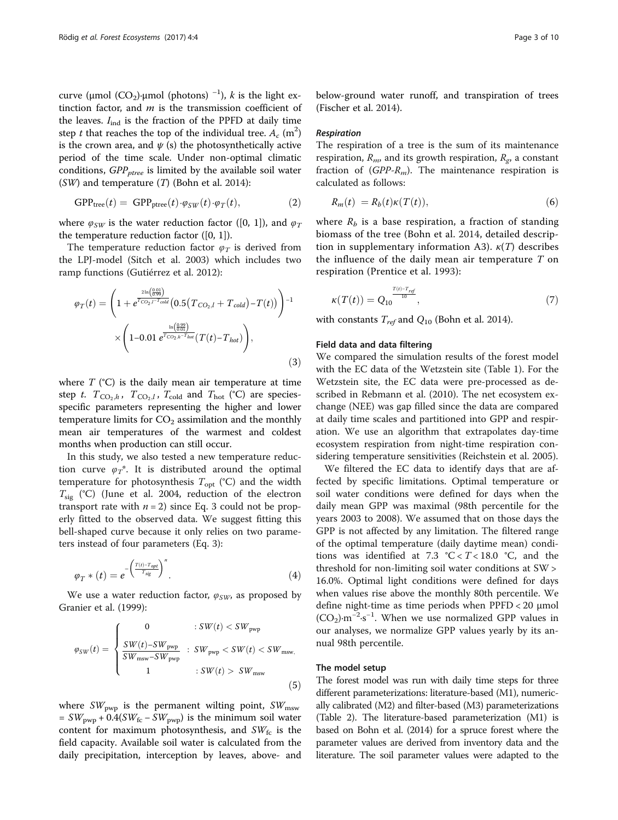<span id="page-2-0"></span>curve (μmol (CO<sub>2</sub>)∙μmol (photons) <sup>-1</sup>), *k* is the light extinction factor, and  $m$  is the transmission coefficient of the leaves.  $I_{ind}$  is the fraction of the PPFD at daily time step t that reaches the top of the individual tree.  $A_c$  (m<sup>2</sup>) is the crown area, and  $\psi$  (s) the photosynthetically active period of the time scale. Under non-optimal climatic conditions,  $GPP_{\text{ptree}}$  is limited by the available soil water  $(SW)$  and temperature  $(T)$  (Bohn et al. [2014\)](#page-8-0):

$$
GPPtree(t) = GPPptree(t) \cdot \varphi_{SW}(t) \cdot \varphi_T(t),
$$
 (2)

where  $\varphi_{SW}$  is the water reduction factor ([0, 1]), and  $\varphi_T$ the temperature reduction factor  $([0, 1])$ .

The temperature reduction factor  $\varphi_T$  is derived from the LPJ-model (Sitch et al. [2003\)](#page-9-0) which includes two ramp functions (Gutiérrez et al. [2012](#page-8-0)):

$$
\varphi_T(t) = \left(1 + e^{\frac{2\ln\left(\frac{0.01}{0.99}\right)}{T_{CO_2,l}-T_{cold}}}\left(0.5\left(T_{CO_2,l} + T_{cold}\right) - T(t)\right)\right)^{-1} \times \left(1 - 0.01 e^{\frac{\ln\left(\frac{0.99}{0.01}\right)}{T_{CO_2,h}-T_{hot}}}\left(T(t) - T_{hot}\right)\right),\tag{3}
$$

where  $T$  ( $^{\circ}$ C) is the daily mean air temperature at time step t.  $T_{\text{CO}_2,h}$ ,  $T_{\text{CO}_2,l}$ ,  $T_{\text{cold}}$  and  $T_{\text{hot}}$  (°C) are speciesspecific parameters representing the higher and lower temperature limits for  $CO<sub>2</sub>$  assimilation and the monthly mean air temperatures of the warmest and coldest months when production can still occur.

In this study, we also tested a new temperature reduction curve  $\varphi_T^*$ . It is distributed around the optimal temperature for photosynthesis  $T_{opt}$  (°C) and the width  $T_{\rm sig}$  (°C) (June et al. [2004,](#page-9-0) reduction of the electron transport rate with  $n = 2$ ) since Eq. 3 could not be properly fitted to the observed data. We suggest fitting this bell-shaped curve because it only relies on two parameters instead of four parameters (Eq. 3):

$$
\varphi_T * (t) = e^{-\left(\frac{T(t) - T_{opt}}{T_{sig}}\right)^n}.
$$
\n(4)

We use a water reduction factor,  $\varphi_{SW}$  as proposed by Granier et al. ([1999](#page-8-0)):

$$
\varphi_{SW}(t) = \begin{cases}\n0 & :SW(t) < SW_{\text{pwp}} \\
\frac{SW(t) - SW_{\text{pwp}}}{SW_{\text{msw}} - SW_{\text{pwp}}} & :SW_{\text{pwp}} < SW(t) < SW_{\text{msw}}, \\
1 & :SW(t) > SW_{\text{msw}}\n\end{cases} \tag{5}
$$

where  $SW_{\text{pwp}}$  is the permanent wilting point,  $SW_{\text{msw}}$  $= SW<sub>pwp</sub> + 0.4(SW<sub>fc</sub> - SW<sub>pwp</sub>)$  is the minimum soil water content for maximum photosynthesis, and  $SW_{fc}$  is the field capacity. Available soil water is calculated from the daily precipitation, interception by leaves, above- and below-ground water runoff, and transpiration of trees (Fischer et al. [2014](#page-8-0)).

## Respiration

The respiration of a tree is the sum of its maintenance respiration,  $R_{m}$ , and its growth respiration,  $R_{gr}$  a constant fraction of  $(GPP-R<sub>m</sub>)$ . The maintenance respiration is calculated as follows:

$$
R_m(t) = R_b(t)\kappa(T(t)),
$$
\n(6)

where  $R_b$  is a base respiration, a fraction of standing biomass of the tree (Bohn et al. [2014,](#page-8-0) detailed description in supplementary information A3).  $\kappa(T)$  describes the influence of the daily mean air temperature  $T$  on respiration (Prentice et al. [1993\)](#page-9-0):

$$
\kappa(T(t)) = Q_{10}^{\frac{T(t) - T_{ref}}{10}},\tag{7}
$$

with constants  $T_{ref}$  and  $Q_{10}$  (Bohn et al. [2014](#page-8-0)).

# Field data and data filtering

We compared the simulation results of the forest model with the EC data of the Wetzstein site (Table [1](#page-1-0)). For the Wetzstein site, the EC data were pre-processed as described in Rebmann et al. ([2010\)](#page-9-0). The net ecosystem exchange (NEE) was gap filled since the data are compared at daily time scales and partitioned into GPP and respiration. We use an algorithm that extrapolates day-time ecosystem respiration from night-time respiration considering temperature sensitivities (Reichstein et al. [2005\)](#page-9-0).

We filtered the EC data to identify days that are affected by specific limitations. Optimal temperature or soil water conditions were defined for days when the daily mean GPP was maximal (98th percentile for the years 2003 to 2008). We assumed that on those days the GPP is not affected by any limitation. The filtered range of the optimal temperature (daily daytime mean) conditions was identified at 7.3 °C <  $T$  < 18.0 °C, and the threshold for non-limiting soil water conditions at SW > 16.0%. Optimal light conditions were defined for days when values rise above the monthly 80th percentile. We define night-time as time periods when PPFD < 20 μmol (CO<sub>2</sub>)⋅m<sup>-2</sup>⋅s<sup>-1</sup>. When we use normalized GPP values in our analyses, we normalize GPP values yearly by its annual 98th percentile.

## The model setup

The forest model was run with daily time steps for three different parameterizations: literature-based (M1), numerically calibrated (M2) and filter-based (M3) parameterizations (Table [2\)](#page-3-0). The literature-based parameterization (M1) is based on Bohn et al. [\(2014](#page-8-0)) for a spruce forest where the parameter values are derived from inventory data and the literature. The soil parameter values were adapted to the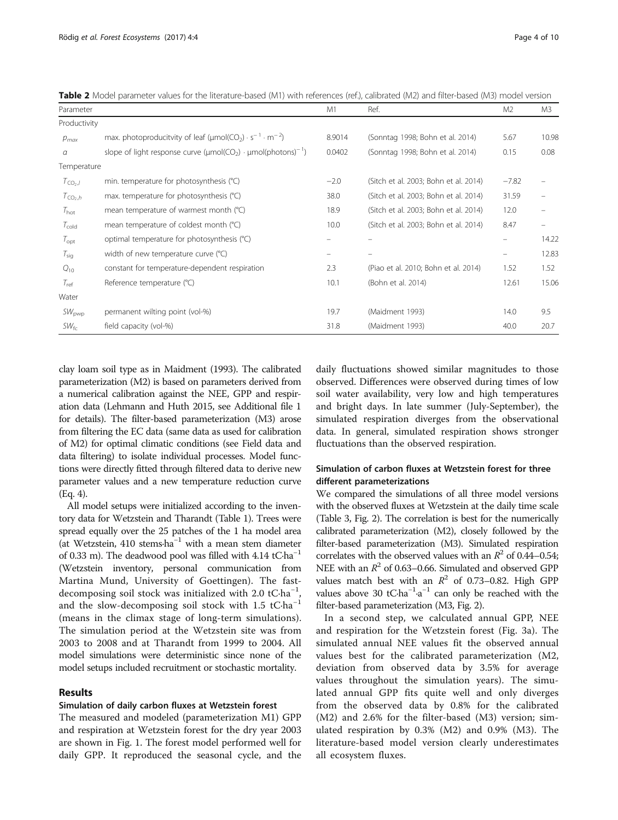<span id="page-3-0"></span>Table 2 Model parameter values for the literature-based (M1) with references (ref.), calibrated (M2) and filter-based (M3) model version

| Parameter         |                                                                                                        | M1                | Ref.                                  | M <sub>2</sub>           | M3    |
|-------------------|--------------------------------------------------------------------------------------------------------|-------------------|---------------------------------------|--------------------------|-------|
| Productivity      |                                                                                                        |                   |                                       |                          |       |
| $p_{max}$         | max. photoproducitvity of leaf ( $\mu$ mol(CO <sub>2</sub> ) · s <sup>-1</sup> · m <sup>-2</sup> )     | 8.9014            | (Sonntag 1998; Bohn et al. 2014)      | 5.67                     | 10.98 |
| а                 | slope of light response curve ( $\mu$ mol(CO <sub>2</sub> ) · $\mu$ mol( $\mu$ hotons) <sup>-1</sup> ) | 0.0402            | (Sonntag 1998; Bohn et al. 2014)      | 0.15                     | 0.08  |
| Temperature       |                                                                                                        |                   |                                       |                          |       |
| $T_{CO2,J}$       | min. temperature for photosynthesis (°C)                                                               | $-2.0$            | (Sitch et al. 2003; Bohn et al. 2014) | $-7.82$                  |       |
| $T_{CO2,h}$       | max. temperature for photosynthesis (°C)                                                               | 38.0              | (Sitch et al. 2003; Bohn et al. 2014) | 31.59                    |       |
| $T_{\text{hot}}$  | mean temperature of warmest month (°C)                                                                 | 18.9              | (Sitch et al. 2003; Bohn et al. 2014) | 12.0                     |       |
| $T_{\text{cold}}$ | mean temperature of coldest month (°C)                                                                 | 10.0              | (Sitch et al. 2003; Bohn et al. 2014) | 8.47                     | -     |
| $T_{\rm opt}$     | optimal temperature for photosynthesis (°C)                                                            | $\qquad \qquad -$ |                                       | $\overline{\phantom{m}}$ | 14.22 |
| $T_{\text{sig}}$  | width of new temperature curve (°C)                                                                    |                   |                                       | -                        | 12.83 |
| $Q_{10}$          | constant for temperature-dependent respiration                                                         | 2.3               | (Piao et al. 2010; Bohn et al. 2014)  | 1.52                     | 1.52  |
| $T_{ref}$         | Reference temperature (°C)                                                                             | 10.1              | (Bohn et al. 2014)                    | 12.61                    | 15.06 |
| Water             |                                                                                                        |                   |                                       |                          |       |
| $SW_{\text{pwp}}$ | permanent wilting point (vol-%)                                                                        | 19.7              | (Maidment 1993)                       | 14.0                     | 9.5   |
| $SW_{\text{fc}}$  | field capacity (vol-%)                                                                                 | 31.8              | (Maidment 1993)                       | 40.0                     | 20.7  |

clay loam soil type as in Maidment ([1993\)](#page-9-0). The calibrated parameterization (M2) is based on parameters derived from a numerical calibration against the NEE, GPP and respiration data (Lehmann and Huth [2015,](#page-9-0) see Additional file [1](#page-8-0) for details). The filter-based parameterization (M3) arose from filtering the EC data (same data as used for calibration of M2) for optimal climatic conditions (see Field data and data filtering) to isolate individual processes. Model functions were directly fitted through filtered data to derive new parameter values and a new temperature reduction curve (Eq. [4](#page-2-0)).

All model setups were initialized according to the inventory data for Wetzstein and Tharandt (Table [1](#page-1-0)). Trees were spread equally over the 25 patches of the 1 ha model area (at Wetzstein, 410 stems∙ha−<sup>1</sup> with a mean stem diameter of 0.33 m). The deadwood pool was filled with 4.14 tC∙ha−<sup>1</sup> (Wetzstein inventory, personal communication from Martina Mund, University of Goettingen). The fastdecomposing soil stock was initialized with 2.0 tC⋅ha<sup>-1</sup>, and the slow-decomposing soil stock with 1.5 tC⋅ha<sup>-1</sup> (means in the climax stage of long-term simulations). The simulation period at the Wetzstein site was from 2003 to 2008 and at Tharandt from 1999 to 2004. All model simulations were deterministic since none of the model setups included recruitment or stochastic mortality.

## Results

## Simulation of daily carbon fluxes at Wetzstein forest

The measured and modeled (parameterization M1) GPP and respiration at Wetzstein forest for the dry year 2003 are shown in Fig. [1](#page-4-0). The forest model performed well for daily GPP. It reproduced the seasonal cycle, and the daily fluctuations showed similar magnitudes to those observed. Differences were observed during times of low soil water availability, very low and high temperatures and bright days. In late summer (July-September), the simulated respiration diverges from the observational data. In general, simulated respiration shows stronger fluctuations than the observed respiration.

# Simulation of carbon fluxes at Wetzstein forest for three different parameterizations

We compared the simulations of all three model versions with the observed fluxes at Wetzstein at the daily time scale (Table [3,](#page-4-0) Fig. [2](#page-5-0)). The correlation is best for the numerically calibrated parameterization (M2), closely followed by the filter-based parameterization (M3). Simulated respiration correlates with the observed values with an  $R^2$  of 0.44–0.54; NEE with an  $R^2$  of 0.63–0.66. Simulated and observed GPP values match best with an  $R^2$  of 0.73–0.82. High GPP values above 30 tC⋅ha<sup>-1</sup>⋅a<sup>-1</sup> can only be reached with the filter-based parameterization (M3, Fig. [2\)](#page-5-0).

In a second step, we calculated annual GPP, NEE and respiration for the Wetzstein forest (Fig. [3a\)](#page-6-0). The simulated annual NEE values fit the observed annual values best for the calibrated parameterization (M2, deviation from observed data by 3.5% for average values throughout the simulation years). The simulated annual GPP fits quite well and only diverges from the observed data by 0.8% for the calibrated (M2) and 2.6% for the filter-based (M3) version; simulated respiration by 0.3% (M2) and 0.9% (M3). The literature-based model version clearly underestimates all ecosystem fluxes.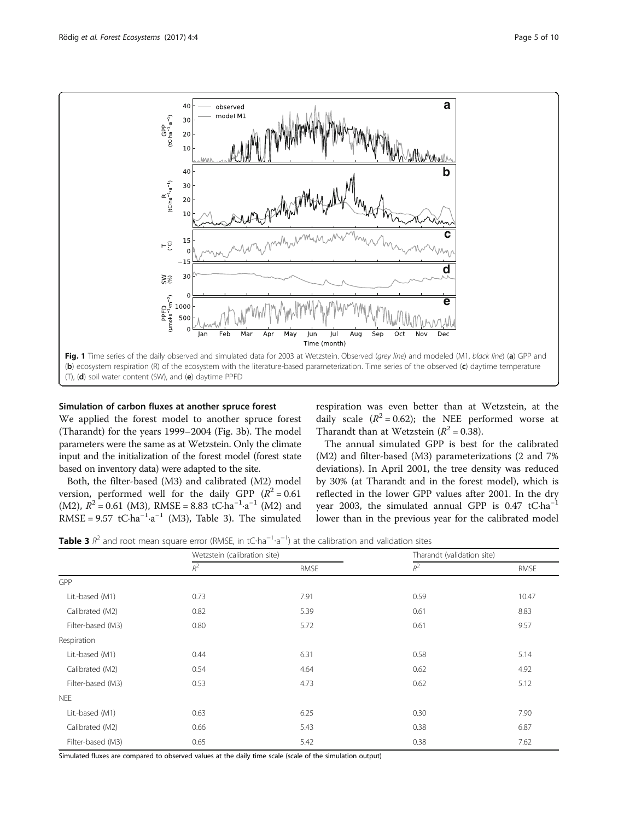<span id="page-4-0"></span>

## Simulation of carbon fluxes at another spruce forest

We applied the forest model to another spruce forest (Tharandt) for the years 1999–2004 (Fig. [3b\)](#page-6-0). The model parameters were the same as at Wetzstein. Only the climate input and the initialization of the forest model (forest state based on inventory data) were adapted to the site.

Both, the filter-based (M3) and calibrated (M2) model version, performed well for the daily GPP  $(R^2 = 0.61$ (M2),  $R^2 = 0.61$  (M3), RMSE = 8.83 tC⋅ha<sup>-1</sup>⋅a<sup>-1</sup> (M2) and RMSE =  $9.57$  tC⋅ha<sup>-1</sup>⋅a<sup>-1</sup> (M3), Table 3). The simulated

respiration was even better than at Wetzstein, at the daily scale  $(R^2 = 0.62)$ ; the NEE performed worse at Tharandt than at Wetzstein  $(R^2 = 0.38)$ .

The annual simulated GPP is best for the calibrated (M2) and filter-based (M3) parameterizations (2 and 7% deviations). In April 2001, the tree density was reduced by 30% (at Tharandt and in the forest model), which is reflected in the lower GPP values after 2001. In the dry year 2003, the simulated annual GPP is  $0.47$  tC⋅ha<sup>-1</sup> lower than in the previous year for the calibrated model

**Table 3**  $R^2$  and root mean square error (RMSE, in tC⋅ha<sup>-1</sup>⋅a<sup>-1</sup>) at the calibration and validation sites

|                   | Wetzstein (calibration site) |             | Tharandt (validation site) |             |
|-------------------|------------------------------|-------------|----------------------------|-------------|
|                   | $R^2$                        | <b>RMSE</b> | $R^2$                      | <b>RMSE</b> |
| GPP               |                              |             |                            |             |
| Lit.-based (M1)   | 0.73                         | 7.91        | 0.59                       | 10.47       |
| Calibrated (M2)   | 0.82                         | 5.39        | 0.61                       | 8.83        |
| Filter-based (M3) | 0.80                         | 5.72        | 0.61                       | 9.57        |
| Respiration       |                              |             |                            |             |
| Lit.-based (M1)   | 0.44                         | 6.31        | 0.58                       | 5.14        |
| Calibrated (M2)   | 0.54                         | 4.64        | 0.62                       | 4.92        |
| Filter-based (M3) | 0.53                         | 4.73        | 0.62                       | 5.12        |
| <b>NEE</b>        |                              |             |                            |             |
| Lit.-based (M1)   | 0.63                         | 6.25        | 0.30                       | 7.90        |
| Calibrated (M2)   | 0.66                         | 5.43        | 0.38                       | 6.87        |
| Filter-based (M3) | 0.65                         | 5.42        | 0.38                       | 7.62        |

Simulated fluxes are compared to observed values at the daily time scale (scale of the simulation output)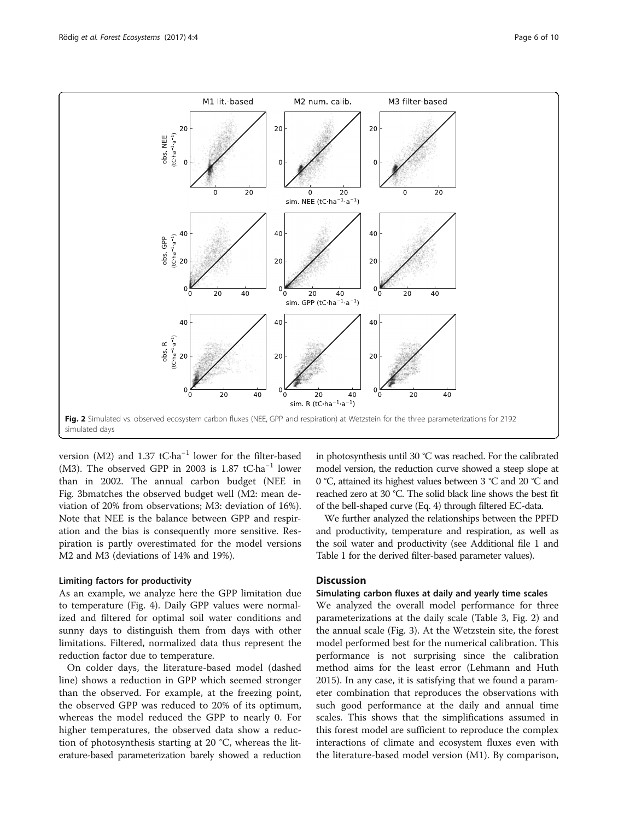<span id="page-5-0"></span>

version (M2) and 1.37 tC∙ha−<sup>1</sup> lower for the filter-based (M3). The observed GPP in 2003 is 1.87 tC∙ha−<sup>1</sup> lower than in 2002. The annual carbon budget (NEE in Fig. [3bm](#page-6-0)atches the observed budget well (M2: mean deviation of 20% from observations; M3: deviation of 16%). Note that NEE is the balance between GPP and respiration and the bias is consequently more sensitive. Respiration is partly overestimated for the model versions M2 and M3 (deviations of 14% and 19%).

## Limiting factors for productivity

As an example, we analyze here the GPP limitation due to temperature (Fig. [4](#page-6-0)). Daily GPP values were normalized and filtered for optimal soil water conditions and sunny days to distinguish them from days with other limitations. Filtered, normalized data thus represent the reduction factor due to temperature.

On colder days, the literature-based model (dashed line) shows a reduction in GPP which seemed stronger than the observed. For example, at the freezing point, the observed GPP was reduced to 20% of its optimum, whereas the model reduced the GPP to nearly 0. For higher temperatures, the observed data show a reduction of photosynthesis starting at 20 °C, whereas the literature-based parameterization barely showed a reduction

in photosynthesis until 30 °C was reached. For the calibrated model version, the reduction curve showed a steep slope at 0 °C, attained its highest values between 3 °C and 20 °C and reached zero at 30 °C. The solid black line shows the best fit of the bell-shaped curve (Eq. [4](#page-2-0)) through filtered EC-data.

We further analyzed the relationships between the PPFD and productivity, temperature and respiration, as well as the soil water and productivity (see Additional file [1](#page-8-0) and Table [1](#page-1-0) for the derived filter-based parameter values).

# **Discussion**

# Simulating carbon fluxes at daily and yearly time scales

We analyzed the overall model performance for three parameterizations at the daily scale (Table [3](#page-4-0), Fig. 2) and the annual scale (Fig. [3](#page-6-0)). At the Wetzstein site, the forest model performed best for the numerical calibration. This performance is not surprising since the calibration method aims for the least error (Lehmann and Huth [2015](#page-9-0)). In any case, it is satisfying that we found a parameter combination that reproduces the observations with such good performance at the daily and annual time scales. This shows that the simplifications assumed in this forest model are sufficient to reproduce the complex interactions of climate and ecosystem fluxes even with the literature-based model version (M1). By comparison,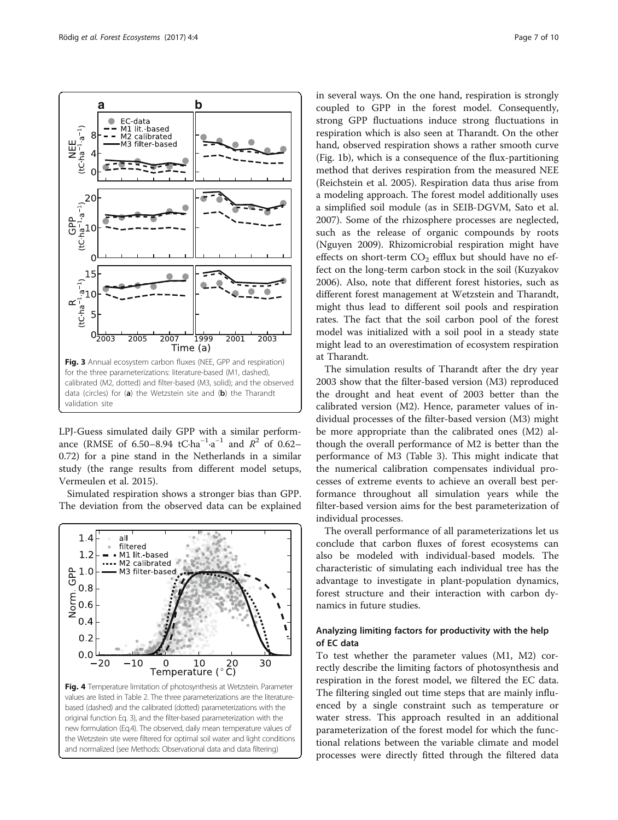<span id="page-6-0"></span>

LPJ-Guess simulated daily GPP with a similar performance (RMSE of 6.50–8.94 tC⋅ha<sup>-1</sup>⋅a<sup>-1</sup> and  $R^2$  of 0.62– 0.72) for a pine stand in the Netherlands in a similar study (the range results from different model setups, Vermeulen et al. [2015\)](#page-9-0).

Simulated respiration shows a stronger bias than GPP. The deviation from the observed data can be explained



in several ways. On the one hand, respiration is strongly coupled to GPP in the forest model. Consequently, strong GPP fluctuations induce strong fluctuations in respiration which is also seen at Tharandt. On the other hand, observed respiration shows a rather smooth curve (Fig. [1b](#page-4-0)), which is a consequence of the flux-partitioning method that derives respiration from the measured NEE (Reichstein et al. [2005](#page-9-0)). Respiration data thus arise from a modeling approach. The forest model additionally uses a simplified soil module (as in SEIB-DGVM, Sato et al. [2007](#page-9-0)). Some of the rhizosphere processes are neglected, such as the release of organic compounds by roots (Nguyen [2009](#page-9-0)). Rhizomicrobial respiration might have effects on short-term  $CO<sub>2</sub>$  efflux but should have no effect on the long-term carbon stock in the soil (Kuzyakov [2006](#page-9-0)). Also, note that different forest histories, such as different forest management at Wetzstein and Tharandt, might thus lead to different soil pools and respiration rates. The fact that the soil carbon pool of the forest model was initialized with a soil pool in a steady state might lead to an overestimation of ecosystem respiration at Tharandt.

The simulation results of Tharandt after the dry year 2003 show that the filter-based version (M3) reproduced the drought and heat event of 2003 better than the calibrated version (M2). Hence, parameter values of individual processes of the filter-based version (M3) might be more appropriate than the calibrated ones (M2) although the overall performance of M2 is better than the performance of M3 (Table [3\)](#page-4-0). This might indicate that the numerical calibration compensates individual processes of extreme events to achieve an overall best performance throughout all simulation years while the filter-based version aims for the best parameterization of individual processes.

The overall performance of all parameterizations let us conclude that carbon fluxes of forest ecosystems can also be modeled with individual-based models. The characteristic of simulating each individual tree has the advantage to investigate in plant-population dynamics, forest structure and their interaction with carbon dynamics in future studies.

# Analyzing limiting factors for productivity with the help of EC data

To test whether the parameter values (M1, M2) correctly describe the limiting factors of photosynthesis and respiration in the forest model, we filtered the EC data. The filtering singled out time steps that are mainly influenced by a single constraint such as temperature or water stress. This approach resulted in an additional parameterization of the forest model for which the functional relations between the variable climate and model processes were directly fitted through the filtered data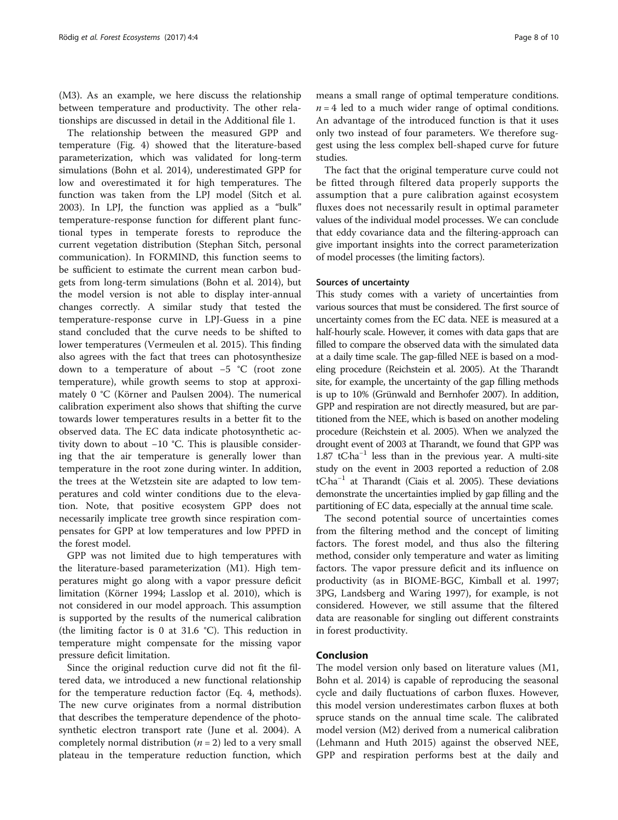(M3). As an example, we here discuss the relationship between temperature and productivity. The other relationships are discussed in detail in the Additional file [1.](#page-8-0)

The relationship between the measured GPP and temperature (Fig. [4\)](#page-6-0) showed that the literature-based parameterization, which was validated for long-term simulations (Bohn et al. [2014](#page-8-0)), underestimated GPP for low and overestimated it for high temperatures. The function was taken from the LPJ model (Sitch et al. [2003](#page-9-0)). In LPJ, the function was applied as a "bulk" temperature-response function for different plant functional types in temperate forests to reproduce the current vegetation distribution (Stephan Sitch, personal communication). In FORMIND, this function seems to be sufficient to estimate the current mean carbon budgets from long-term simulations (Bohn et al. [2014\)](#page-8-0), but the model version is not able to display inter-annual changes correctly. A similar study that tested the temperature-response curve in LPJ-Guess in a pine stand concluded that the curve needs to be shifted to lower temperatures (Vermeulen et al. [2015\)](#page-9-0). This finding also agrees with the fact that trees can photosynthesize down to a temperature of about −5 °C (root zone temperature), while growth seems to stop at approximately 0 °C (Körner and Paulsen [2004](#page-9-0)). The numerical calibration experiment also shows that shifting the curve towards lower temperatures results in a better fit to the observed data. The EC data indicate photosynthetic activity down to about −10 °C. This is plausible considering that the air temperature is generally lower than temperature in the root zone during winter. In addition, the trees at the Wetzstein site are adapted to low temperatures and cold winter conditions due to the elevation. Note, that positive ecosystem GPP does not necessarily implicate tree growth since respiration compensates for GPP at low temperatures and low PPFD in the forest model.

GPP was not limited due to high temperatures with the literature-based parameterization (M1). High temperatures might go along with a vapor pressure deficit limitation (Körner [1994](#page-9-0); Lasslop et al. [2010](#page-9-0)), which is not considered in our model approach. This assumption is supported by the results of the numerical calibration (the limiting factor is 0 at 31.6 °C). This reduction in temperature might compensate for the missing vapor pressure deficit limitation.

Since the original reduction curve did not fit the filtered data, we introduced a new functional relationship for the temperature reduction factor (Eq. [4](#page-2-0), methods). The new curve originates from a normal distribution that describes the temperature dependence of the photosynthetic electron transport rate (June et al. [2004](#page-9-0)). A completely normal distribution  $(n = 2)$  led to a very small plateau in the temperature reduction function, which means a small range of optimal temperature conditions.  $n = 4$  led to a much wider range of optimal conditions. An advantage of the introduced function is that it uses only two instead of four parameters. We therefore suggest using the less complex bell-shaped curve for future studies.

The fact that the original temperature curve could not be fitted through filtered data properly supports the assumption that a pure calibration against ecosystem fluxes does not necessarily result in optimal parameter values of the individual model processes. We can conclude that eddy covariance data and the filtering-approach can give important insights into the correct parameterization of model processes (the limiting factors).

## Sources of uncertainty

This study comes with a variety of uncertainties from various sources that must be considered. The first source of uncertainty comes from the EC data. NEE is measured at a half-hourly scale. However, it comes with data gaps that are filled to compare the observed data with the simulated data at a daily time scale. The gap-filled NEE is based on a modeling procedure (Reichstein et al. [2005](#page-9-0)). At the Tharandt site, for example, the uncertainty of the gap filling methods is up to 10% (Grünwald and Bernhofer [2007](#page-8-0)). In addition, GPP and respiration are not directly measured, but are partitioned from the NEE, which is based on another modeling procedure (Reichstein et al. [2005](#page-9-0)). When we analyzed the drought event of 2003 at Tharandt, we found that GPP was 1.87 tC⋅ha<sup>-1</sup> less than in the previous year. A multi-site study on the event in 2003 reported a reduction of 2.08 tC∙ha−<sup>1</sup> at Tharandt (Ciais et al. [2005](#page-8-0)). These deviations demonstrate the uncertainties implied by gap filling and the partitioning of EC data, especially at the annual time scale.

The second potential source of uncertainties comes from the filtering method and the concept of limiting factors. The forest model, and thus also the filtering method, consider only temperature and water as limiting factors. The vapor pressure deficit and its influence on productivity (as in BIOME-BGC, Kimball et al. [1997](#page-9-0); 3PG, Landsberg and Waring [1997\)](#page-9-0), for example, is not considered. However, we still assume that the filtered data are reasonable for singling out different constraints in forest productivity.

# Conclusion

The model version only based on literature values (M1, Bohn et al. [2014](#page-8-0)) is capable of reproducing the seasonal cycle and daily fluctuations of carbon fluxes. However, this model version underestimates carbon fluxes at both spruce stands on the annual time scale. The calibrated model version (M2) derived from a numerical calibration (Lehmann and Huth [2015](#page-9-0)) against the observed NEE, GPP and respiration performs best at the daily and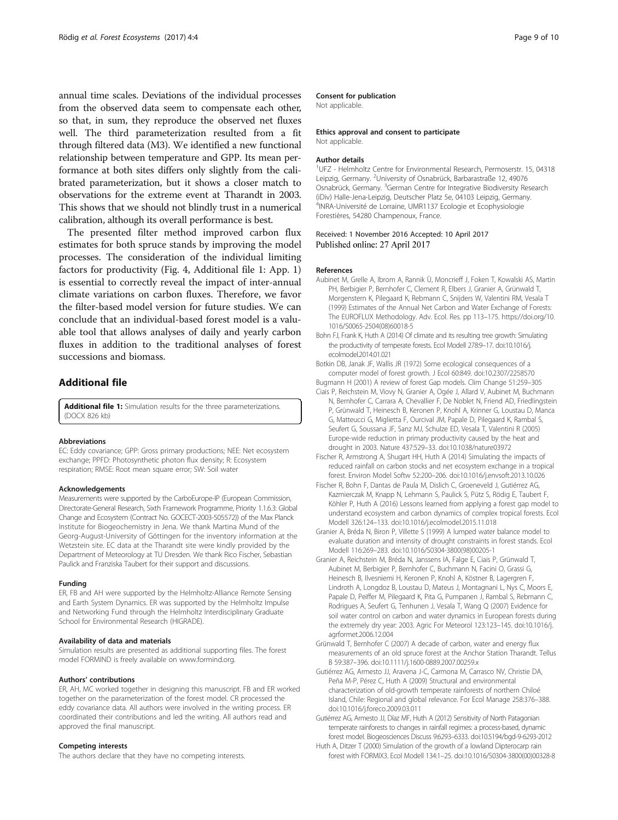<span id="page-8-0"></span>annual time scales. Deviations of the individual processes from the observed data seem to compensate each other, so that, in sum, they reproduce the observed net fluxes well. The third parameterization resulted from a fit through filtered data (M3). We identified a new functional relationship between temperature and GPP. Its mean performance at both sites differs only slightly from the calibrated parameterization, but it shows a closer match to observations for the extreme event at Tharandt in 2003. This shows that we should not blindly trust in a numerical calibration, although its overall performance is best.

The presented filter method improved carbon flux estimates for both spruce stands by improving the model processes. The consideration of the individual limiting factors for productivity (Fig. [4](#page-6-0), Additional file 1: App. 1) is essential to correctly reveal the impact of inter-annual climate variations on carbon fluxes. Therefore, we favor the filter-based model version for future studies. We can conclude that an individual-based forest model is a valuable tool that allows analyses of daily and yearly carbon fluxes in addition to the traditional analyses of forest successions and biomass.

# Additional file

[Additional file 1:](dx.doi.org/10.1186/s40663-017-0091-1) Simulation results for the three parameterizations. (DOCX 826 kb)

#### **Abbreviations**

EC: Eddy covariance; GPP: Gross primary productions; NEE: Net ecosystem exchange; PPFD: Photosynthetic photon flux density; R: Ecosystem respiration; RMSE: Root mean square error; SW: Soil water

#### Acknowledgements

Measurements were supported by the CarboEurope-IP (European Commission, Directorate-General Research, Sixth Framework Programme, Priority 1.1.6.3: Global Change and Ecosystem (Contract No. GOCECT-2003-505572)) of the Max Planck Institute for Biogeochemistry in Jena. We thank Martina Mund of the Georg-August-University of Göttingen for the inventory information at the Wetzstein site. EC data at the Tharandt site were kindly provided by the Department of Meteorology at TU Dresden. We thank Rico Fischer, Sebastian Paulick and Franziska Taubert for their support and discussions.

#### Funding

ER, FB and AH were supported by the Helmholtz-Alliance Remote Sensing and Earth System Dynamics. ER was supported by the Helmholtz Impulse and Networking Fund through the Helmholtz Interdisciplinary Graduate School for Environmental Research (HIGRADE).

#### Availability of data and materials

Simulation results are presented as additional supporting files. The forest model FORMIND is freely available on [www.formind.org.](http://www.formind.org)

#### Authors' contributions

ER, AH, MC worked together in designing this manuscript. FB and ER worked together on the parameterization of the forest model. CR processed the eddy covariance data. All authors were involved in the writing process. ER coordinated their contributions and led the writing. All authors read and approved the final manuscript.

## Competing interests

The authors declare that they have no competing interests.

## Consent for publication

Not applicable.

#### Ethics approval and consent to participate

Not applicable.

#### Author details

<sup>1</sup>UFZ - Helmholtz Centre for Environmental Research, Permoserstr. 15, 04318 Leipzig, Germany. <sup>2</sup>University of Osnabrück, Barbarastraße 12, 49076 Osnabrück, Germany. <sup>3</sup>German Centre for Integrative Biodiversity Research (iDiv) Halle-Jena-Leipzig, Deutscher Platz 5e, 04103 Leipzig, Germany. 4 INRA-Université de Lorraine, UMR1137 Ecologie et Ecophysiologie Forestières, 54280 Champenoux, France.

#### Received: 1 November 2016 Accepted: 10 April 2017 Published online: 27 April 2017

#### References

Aubinet M, Grelle A, Ibrom A, Rannik Ü, Moncrieff J, Foken T, Kowalski AS, Martin PH, Berbigier P, Bernhofer C, Clement R, Elbers J, Granier A, Grünwald T, Morgenstern K, Pilegaard K, Rebmann C, Snijders W, Valentini RM, Vesala T (1999) Estimates of the Annual Net Carbon and Water Exchange of Forests: The EUROFLUX Methodology. Adv. Ecol. Res. pp 113–175. [https://doi.org/10.](https://doi.org/10.1016/S0065-2504(08)60018-5) [1016/S0065-2504\(08\)60018-5](https://doi.org/10.1016/S0065-2504(08)60018-5)

Bohn FJ, Frank K, Huth A (2014) Of climate and its resulting tree growth: Simulating the productivity of temperate forests. Ecol Modell 278:9–17. doi[:10.1016/j.](http://dx.doi.org/10.1016/j.ecolmodel.2014.01.021) [ecolmodel.2014.01.021](http://dx.doi.org/10.1016/j.ecolmodel.2014.01.021)

Botkin DB, Janak JF, Wallis JR (1972) Some ecological consequences of a computer model of forest growth. J Ecol 60:849. doi[:10.2307/2258570](http://dx.doi.org/10.2307/2258570)

Bugmann H (2001) A review of forest Gap models. Clim Change 51:259–305 Ciais P, Reichstein M, Viovy N, Granier A, Ogée J, Allard V, Aubinet M, Buchmann N, Bernhofer C, Carrara A, Chevallier F, De Noblet N, Friend AD, Friedlingstein

P, Grünwald T, Heinesch B, Keronen P, Knohl A, Krinner G, Loustau D, Manca G, Matteucci G, Miglietta F, Ourcival JM, Papale D, Pilegaard K, Rambal S, Seufert G, Soussana JF, Sanz MJ, Schulze ED, Vesala T, Valentini R (2005) Europe-wide reduction in primary productivity caused by the heat and drought in 2003. Nature 437:529–33. doi[:10.1038/nature03972](http://dx.doi.org/10.1038/nature03972)

Fischer R, Armstrong A, Shugart HH, Huth A (2014) Simulating the impacts of reduced rainfall on carbon stocks and net ecosystem exchange in a tropical forest. Environ Model Softw 52:200–206. doi:[10.1016/j.envsoft.2013.10.026](http://dx.doi.org/10.1016/j.envsoft.2013.10.026)

- Fischer R, Bohn F, Dantas de Paula M, Dislich C, Groeneveld J, Gutiérrez AG, Kazmierczak M, Knapp N, Lehmann S, Paulick S, Pütz S, Rödig E, Taubert F, Köhler P, Huth A (2016) Lessons learned from applying a forest gap model to understand ecosystem and carbon dynamics of complex tropical forests. Ecol Modell 326:124–133. doi[:10.1016/j.ecolmodel.2015.11.018](http://dx.doi.org/10.1016/j.ecolmodel.2015.11.018)
- Granier A, Bréda N, Biron P, Villette S (1999) A lumped water balance model to evaluate duration and intensity of drought constraints in forest stands. Ecol Modell 116:269–283. doi[:10.1016/S0304-3800\(98\)00205-1](http://dx.doi.org/10.1016/S0304-3800(98)00205-1)
- Granier A, Reichstein M, Bréda N, Janssens IA, Falge E, Ciais P, Grünwald T, Aubinet M, Berbigier P, Bernhofer C, Buchmann N, Facini O, Grassi G, Heinesch B, Ilvesniemi H, Keronen P, Knohl A, Köstner B, Lagergren F, Lindroth A, Longdoz B, Loustau D, Mateus J, Montagnani L, Nys C, Moors E, Papale D, Peiffer M, Pilegaard K, Pita G, Pumpanen J, Rambal S, Rebmann C, Rodrigues A, Seufert G, Tenhunen J, Vesala T, Wang Q (2007) Evidence for soil water control on carbon and water dynamics in European forests during the extremely dry year: 2003. Agric For Meteorol 123:123–145. doi[:10.1016/j.](http://dx.doi.org/10.1016/j.agrformet.2006.12.004) [agrformet.2006.12.004](http://dx.doi.org/10.1016/j.agrformet.2006.12.004)
- Grünwald T, Bernhofer C (2007) A decade of carbon, water and energy flux measurements of an old spruce forest at the Anchor Station Tharandt. Tellus B 59:387–396. doi[:10.1111/j.1600-0889.2007.00259.x](http://dx.doi.org/10.1111/j.1600-0889.2007.00259.x)
- Gutiérrez AG, Armesto JJ, Aravena J-C, Carmona M, Carrasco NV, Christie DA, Peña M-P, Pérez C, Huth A (2009) Structural and environmental characterization of old-growth temperate rainforests of northern Chiloé Island, Chile: Regional and global relevance. For Ecol Manage 258:376–388. doi[:10.1016/j.foreco.2009.03.011](http://dx.doi.org/10.1016/j.foreco.2009.03.011)

Gutiérrez AG, Armesto JJ, Díaz MF, Huth A (2012) Sensitivity of North Patagonian temperate rainforests to changes in rainfall regimes: a process-based, dynamic forest model. Biogeosciences Discuss 9:6293–6333. doi[:10.5194/bgd-9-6293-2012](http://dx.doi.org/10.5194/bgd-9-6293-2012)

Huth A, Ditzer T (2000) Simulation of the growth of a lowland Dipterocarp rain forest with FORMIX3. Ecol Modell 134:1–25. doi[:10.1016/S0304-3800\(00\)00328-8](http://dx.doi.org/10.1016/S0304-3800(00)00328-8)